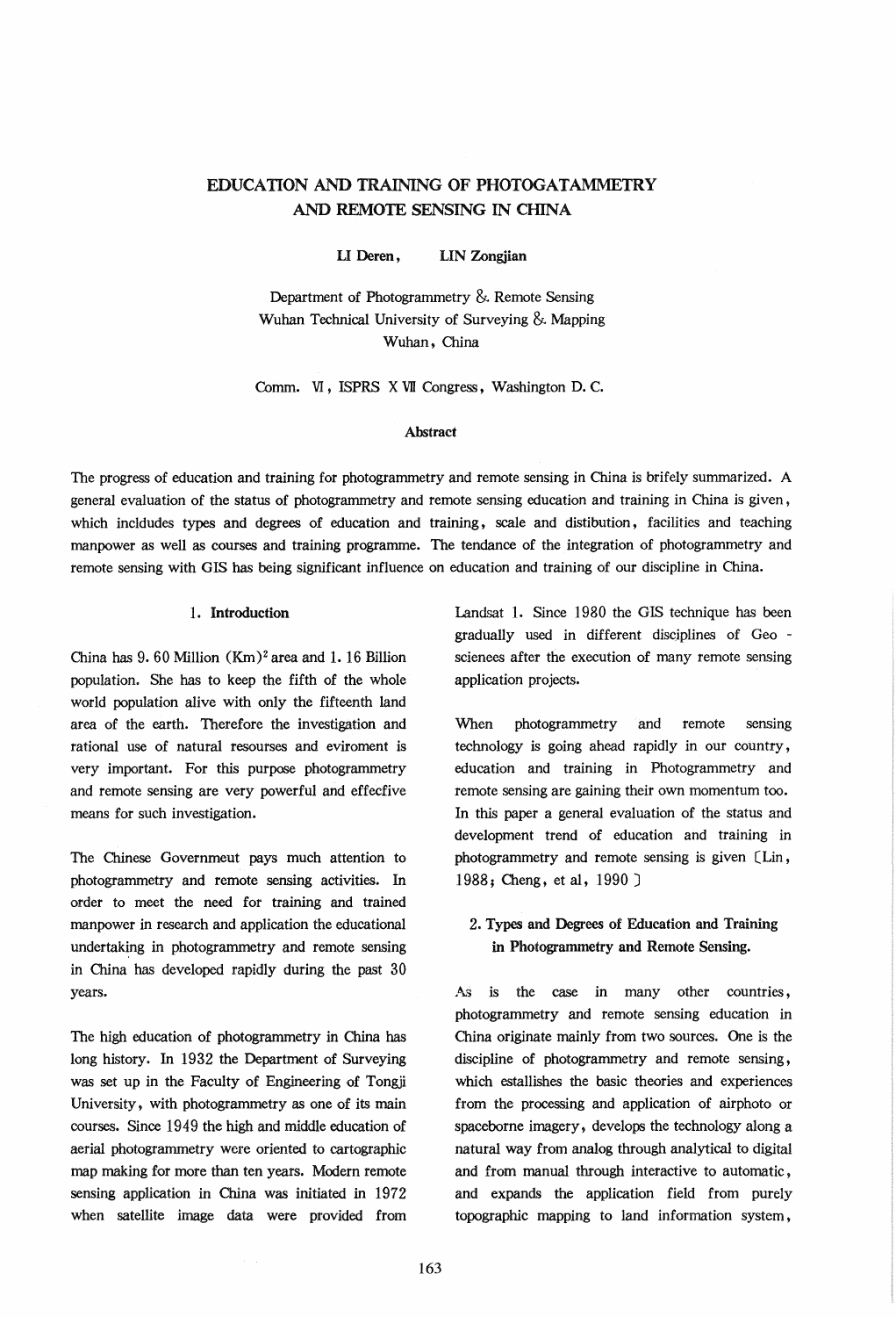# EDUCATION AND TRAINING OF PHOTOGATAMMETRY AND REMOTE SENSING IN CHINA

U Deren, LIN Zongjian

Department of Photogrammetry &. Remote Sensing Wuhan Technical University of Surveying &. Mapping Wuhan, China

Comm. VI, ISPRS X W Congress, Washington D. C.

### Abstract

The progress of education and training for photogrammetry and remote sensing in China is brifely summarized. A general evaluation of the status of photogrammetry and remote sensing education and training in China is given, which incldudes types and degrees of education and training, scale and distibution, facilities and teaching manpower as well as courses and training programme. The tendance of the integration of photogrammetry and remote sensing with GIS has being significant influence on education and training of our discipline in China.

#### 1. Introduction

China has  $9.60$  Million  $(Km)^2$  area and 1.16 Billion population. She has to keep the fifth of the whole world population alive with only the fifteenth land area of the earth. Therefore the investigation and rational use of natural resourses and eviroment is very important. For this purpose photogrammetry and remote sensing are very powerful and effecfive means for such investigation.

The Chinese Governmeut pays much attention to photogrammetry and remote sensing activities. In order to meet the need for training and trained manpower in research and application the educational undertaking in photogrammetry and remote sensing in China has developed rapidly during the past 30 years.

The high education of photogrammetry in China has long history. In 1932 the Department of Surveying was set up in the Faculty of Engineering of Tongji University, with photogrammetry as one of its main courses. Since 1949 the high and middle education of aerial photogrammetry were oriented to cartographic map making for more than ten years. Modern remote sensing application in China was initiated in 1972 when satellite image data were provided from

Landsat 1. Since 1980 the GIS technique has been gradually used in different disciplines of Geo scienees after the execution of many remote sensing application projects.

When photogrammetry and remote sensing technology is going ahead rapidly in our country, education and training in Photogrammetry and remote sensing are gaining their own momentum too. In this paper a general evaluation of the status and development trend of education and training in photogrammetry and remote sensing is given CLin, 1988; Cheng, et al, 1990 J

# 2. Types and Degrees of Education and Training in Photogrammetry and Remote Sensing.

As is the case in many other countries, photogrammetry and remote sensing education in China originate mainly from two sources. One is the discipline of photogrammetry and remote sensing, which estallishes the basic theories and experiences from the processing and application of airphoto or spaceborne imagery, develops the technology along a natural way from analog through analytical to digital and from manual through interactive to automatic, and expands the application field from purely topographic mapping to land information system,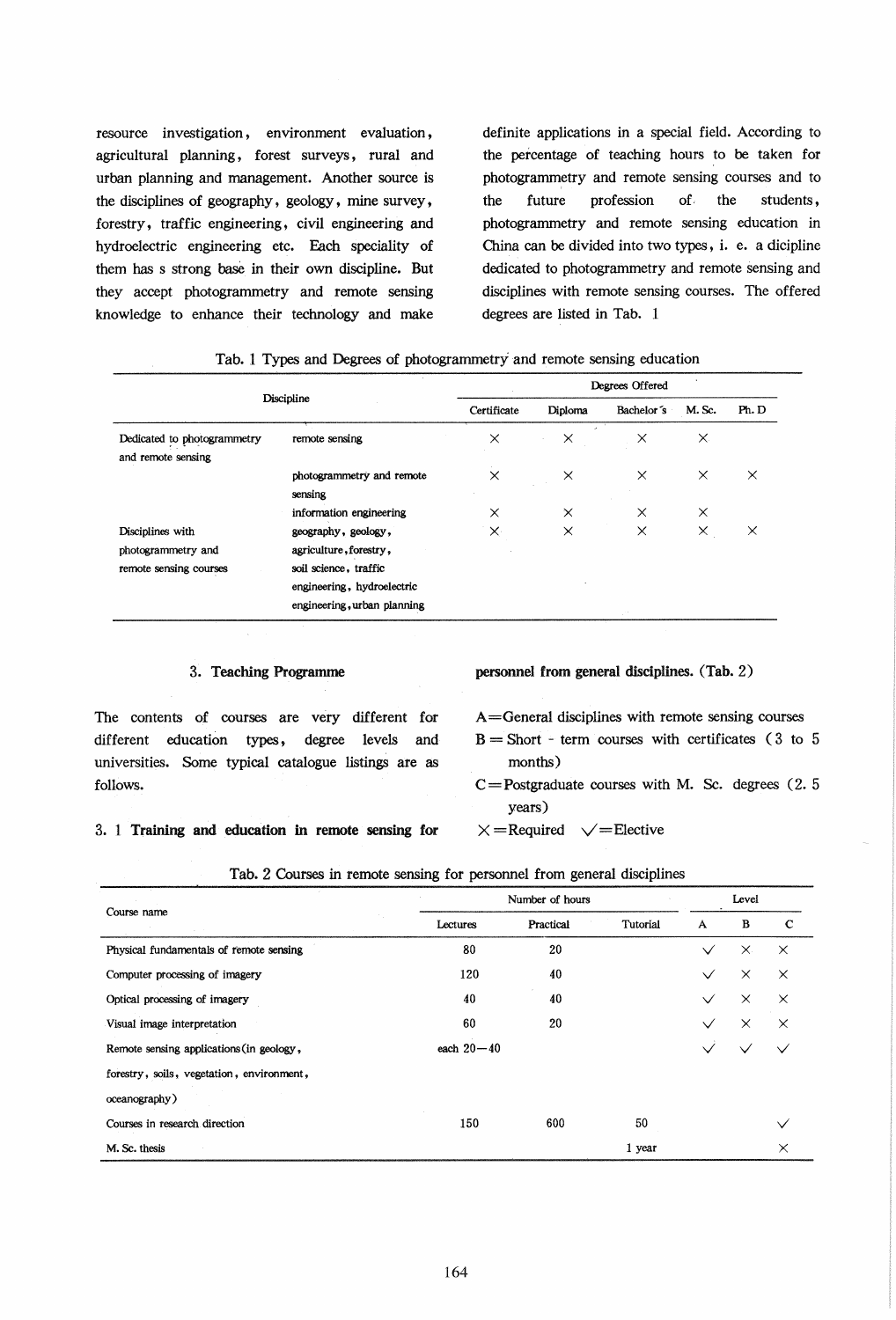resource investigation, environment evaluation, agricultural planning, forest surveys, rural and urban planning and management. Another source is the disciplines of geography, geology, mine survey, forestry, traffic engineering, civil engineering and hydroelectric engineering etc. Each speciality of them has s strong base in their own discipline. But they accept photogrammetry and remote sensing knowledge to enhance their technology and make

definite applications in a special field. According to the percentage of teaching hours to be taken for photogrammetry and remote sensing courses and to the future profession of. the students , photogrammetry and remote sensing education in China can be divided into two types, i. e. a dicipline dedicated to photogrammetry and remote sensing and disciplines with remote sensing courses. The offered degrees are listed in Tab. 1

|                                                                  | Degrees Offered                                                                                                                     |          |                                  |          |          |          |  |  |
|------------------------------------------------------------------|-------------------------------------------------------------------------------------------------------------------------------------|----------|----------------------------------|----------|----------|----------|--|--|
| Discipline                                                       | Certificate                                                                                                                         | Diploma  | Bachelor's                       | M. Sc.   | Ph. D    |          |  |  |
| Dedicated to photogrammetry<br>and remote sensing                | remote sensing                                                                                                                      | $\times$ | $\mathcal{L}_{\mathcal{L}}$<br>× | $\times$ | $\times$ |          |  |  |
|                                                                  | photogrammetry and remote<br>sensing                                                                                                | $\times$ | $\times$                         | $\times$ | $\times$ | $\times$ |  |  |
|                                                                  | information engineering                                                                                                             | $\times$ | $\times$                         | X        | $\times$ |          |  |  |
| Disciplines with<br>photogrammetry and<br>remote sensing courses | geography, geology,<br>agriculture, forestry,<br>soil science, traffic<br>engineering, hydroelectric<br>engineering, urban planning | $\times$ | $\times$                         | X        | $\times$ | $\times$ |  |  |

|  |  |  | Tab. 1 Types and Degrees of photogrammetry and remote sensing education |  |  |
|--|--|--|-------------------------------------------------------------------------|--|--|
|  |  |  |                                                                         |  |  |

| 3. Teaching Programme                                       | personnel from general disciplines. (Tab. 2)          |  |  |  |  |
|-------------------------------------------------------------|-------------------------------------------------------|--|--|--|--|
| The contents of courses are very different for              | $A =$ General disciplines with remote sensing courses |  |  |  |  |
| education<br>different<br>levels<br>degree<br>types,<br>and | $B =$ Short - term courses with certificates (3 to 5  |  |  |  |  |
| universities. Some typical catalogue listings are as        | months)                                               |  |  |  |  |
| follows.                                                    | $C =$ Postgraduate courses with M. Sc. degrees $(2.5$ |  |  |  |  |
|                                                             | years)                                                |  |  |  |  |
| 3. 1 Training and education in remote sensing for           | $\vee$ = Elective<br>$\times$ = Required              |  |  |  |  |

### 3. 1 Training and education in remote sensing

#### Tab. 2 Courses in remote sensing for personnel from general disciplines

| $\mathcal{L}$ .<br>Course name            |                | Level     |          |              |          |          |
|-------------------------------------------|----------------|-----------|----------|--------------|----------|----------|
|                                           | Lectures       | Practical | Tutorial | A            | B        | C        |
| Physical fundamentals of remote sensing   | 80             | 20        |          | $\checkmark$ | $\times$ | $\times$ |
| Computer processing of imagery            | 120            | 40        |          | $\checkmark$ | $\times$ | $\times$ |
| Optical processing of imagery             | 40             | 40        |          | $\checkmark$ | $\times$ | $\times$ |
| Visual image interpretation               | 60             | 20        |          |              | $\times$ | ×        |
| Remote sensing applications (in geology,  | each $20 - 40$ |           |          |              |          |          |
| forestry, soils, vegetation, environment, |                |           |          |              |          |          |
| oceanography)                             |                |           |          |              |          |          |
| Courses in research direction             | 150            | 600       | 50       |              |          |          |
| M. Sc. thesis                             |                |           | 1 year   |              |          | $\times$ |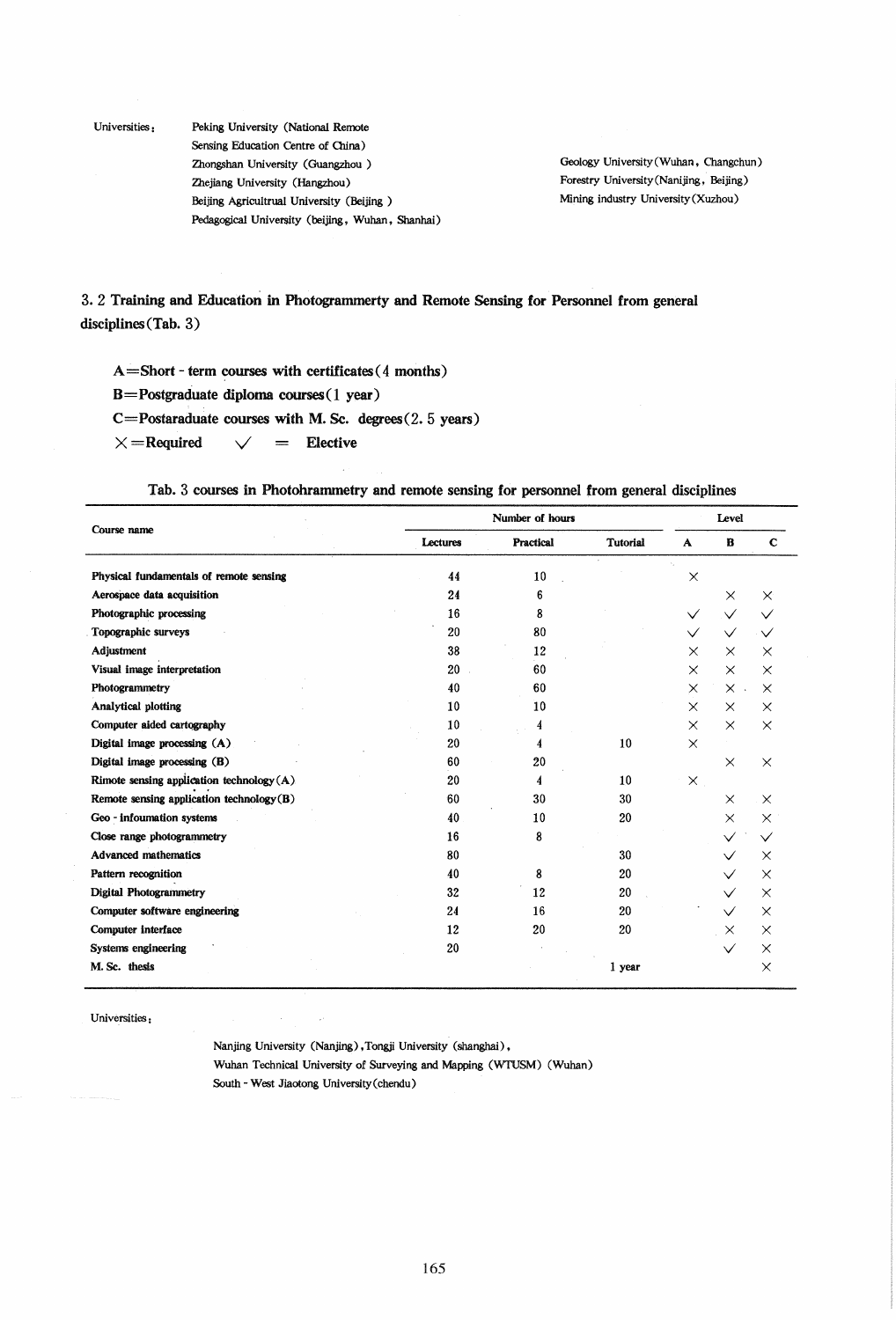Universities: Peking University (National Remote Sensing Education Centre of China) Zhongshan University (Guangzhou ) Zhejiang University (Hangzhou) Beijing Agricultrual University (Beijing ) Pedagogical University (beijing, Wuhan, Shanhai)

Geology University (Wuhan, Changchun) Forestry University(Nanijing, Beijing) Mining industry University(Xuzhou)

3. 2 Training and Education in Photogrammerty and Remote Sensing for Personnel from general disciplines (Tab. 3)

 $A = Short - term courses with certificates ( 4 months)$ 

B = Postgraduate diploma courses (1 year)

 $C = Postaraduate courses with M. Sc. degrees (2.5 years)$ 

 $\times$  = Required  $\times$  = Elective

Tab. 3 courses in Photohrammetry and remote sensing for personnel from general disciplines

|                                           |          | Level     |                 |              |              |             |
|-------------------------------------------|----------|-----------|-----------------|--------------|--------------|-------------|
| Course name                               | Lectures | Practical | <b>Tutorial</b> | $\mathbf{A}$ | B            | $\mathbf C$ |
| Physical fundamentals of remote sensing   | 44       | 10        |                 | X            |              |             |
| Aerospace data acquisition                | 24       | 6         |                 |              | $\times$     | $\times$    |
| Photographic processing                   | 16       | 8         |                 | $\checkmark$ | $\checkmark$ |             |
| Topographic surveys                       | 20       | 80        |                 | $\checkmark$ | $\checkmark$ |             |
| Adjustment                                | 38       | 12        |                 | $\times$     | $\times$     | $\times$    |
| Visual image interpretation               | 20       | 60        |                 | $\times$     | $\times$     | $\times$    |
| Photogrammetry                            | 40       | 60        |                 | $\times$     | $\times$ .   | $\times$    |
| Analytical plotting                       | 10       | 10        |                 | $\times$     | $\times$     | $\times$    |
| Computer aided cartography                | 10       | 4         |                 | $\times$     | $\times$     | $\times$    |
| Digital image processing $(A)$            | 20       | 4         | 10              | $\times$     |              |             |
| Digital image processing (B)              | 60       | 20        |                 |              | $\times$     | $\times$    |
| Rimote sensing application technology (A) | 20       | 4         | 10              | $\times$     |              |             |
| Remote sensing application technology(B)  | 60       | 30        | 30              |              | $\times$     | $\times$    |
| Geo - infoumation systems                 | 40       | 10        | 20              |              | $\times$     | $\times$    |
| Close range photogrammetry                | 16       | 8         |                 |              |              |             |
| <b>Advanced mathematics</b>               | 80       |           | 30              |              |              | $\times$    |
| Pattern recognition                       | 40       | 8         | 20              |              |              | X           |
| <b>Digital Photogrammetry</b>             | 32       | 12        | 20              |              | $\checkmark$ | $\times$    |
| Computer software engineering             | 24       | 16        | 20              |              |              | $\times$    |
| Computer interface                        | 12       | 20        | 20              |              | $\times$     | X           |
| Systems engineering                       | 20       |           |                 |              | $\checkmark$ | ×           |
| M. Sc. thesis                             |          |           | 1 year          |              |              | $\times$    |

Universities :

Nanjing University (Nanjing) , Tongji University (shanghai), Wuhan Technical University of Surveying and Mapping (WTUSM) (Wuhan) South - West Jiaotong University(chendu)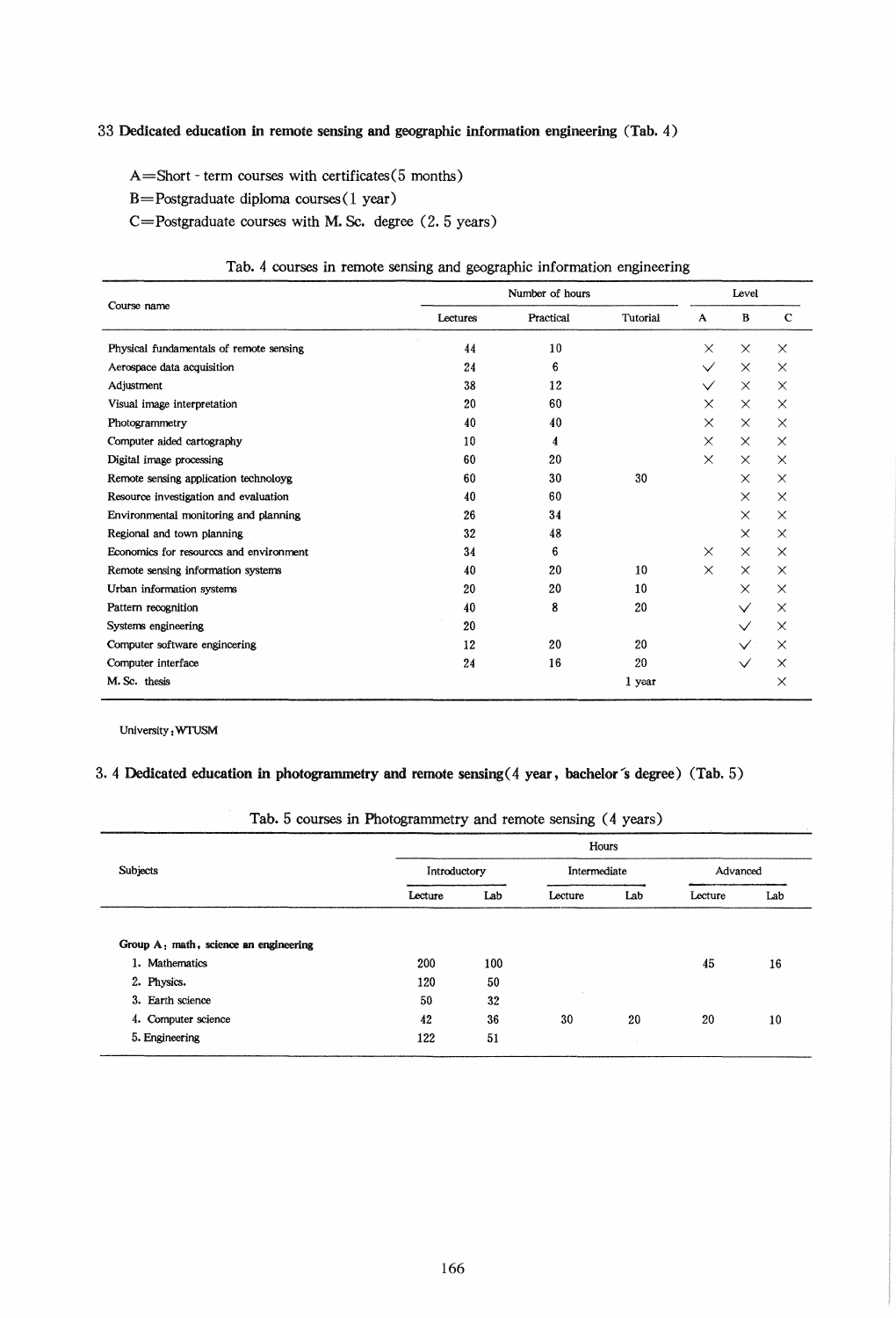# 33 Dedicated education in remote sensing and geographic information engineering (Tab. 4)

A=Short - term courses with certificates(5 months)

 $B = Postgraduate dibloma courses(1 year)$ 

C=Postgraduate courses with M. Sc. degree (2. 5 years)

# Tab. 4 courses in remote sensing and geographic information engineering

| Course name                             | Number of hours |           |          |              | Level        |             |  |  |
|-----------------------------------------|-----------------|-----------|----------|--------------|--------------|-------------|--|--|
|                                         | Lectures        | Practical | Tutorial | A            | B            | $\mathbf C$ |  |  |
| Physical fundamentals of remote sensing | 44              | 10        |          | $\times$     | $\times$     | $\times$    |  |  |
| Aerospace data acquisition              | 24              | 6         |          | $\checkmark$ | $\times$     | $\times$    |  |  |
| Adjustment                              | 38              | 12        |          | $\checkmark$ | $\times$     | $\times$    |  |  |
| Visual image interpretation             | 20              | 60        |          | $\times$     | $\times$     | $\times$    |  |  |
| Photogrammetry                          | 40              | 40        |          | $\times$     | $\times$     | $\times$    |  |  |
| Computer aided cartography              | 10              | 4         |          | $\times$     | $\times$     | $\times$    |  |  |
| Digital image processing                | 60              | 20        |          | $\times$     | $\times$     | $\times$    |  |  |
| Remote sensing application technoloyg   | 60              | 30        | 30       |              | $\times$     | $\times$    |  |  |
| Resource investigation and evaluation   | 40              | 60        |          |              | $\times$     | $\times$    |  |  |
| Environmental monitoring and planning   | 26              | 34        |          |              | $\times$     | $\times$    |  |  |
| Regional and town planning              | 32              | 48        |          |              | $\times$     | $\times$    |  |  |
| Economics for resources and environment | 34              | 6         |          | $\times$     | $\times$     | $\times$    |  |  |
| Remote sensing information systems      | 40              | 20        | 10       | $\times$     | $\times$     | $\times$    |  |  |
| Urban information systems               | 20              | 20        | 10       |              | $\times$     | $\times$    |  |  |
| Pattern recognition                     | 40              | 8         | 20       |              | $\checkmark$ | $\times$    |  |  |
| Systems engineering                     | 20              |           |          |              |              | $\times$    |  |  |
| Computer software engincering           | 12              | 20        | 20       |              |              | $\times$    |  |  |
| Computer interface                      | 24              | 16        | 20       |              | $\checkmark$ | $\times$    |  |  |
| M. Sc. thesis                           |                 |           | 1 year   |              |              | X           |  |  |

University: WIUSM

## 3.4 Dedicated education in photogrammetry and remote sensing (4 year, bachelor's degree) (Tab. 5)

|  | Tab. 5 courses in Photogrammetry and remote sensing (4 years) |
|--|---------------------------------------------------------------|
|--|---------------------------------------------------------------|

| Subjects                              |         | Hours        |         |              |         |          |  |  |  |
|---------------------------------------|---------|--------------|---------|--------------|---------|----------|--|--|--|
|                                       |         | Introductory |         | Intermediate |         | Advanced |  |  |  |
|                                       | Lecture | Lab          | Lecture | Lab          | Lecture | Lab      |  |  |  |
| Group A: math, science an engineering |         |              |         |              |         |          |  |  |  |
|                                       |         |              |         |              |         |          |  |  |  |
| 1. Mathematics                        | 200     | 100          |         |              | 45      | 16       |  |  |  |
| 2. Physics.                           | 120     | 50           |         |              |         |          |  |  |  |
| 3. Earth science                      | 50      | 32           |         |              |         |          |  |  |  |
| 4. Computer science                   | 42      | 36           | 30      | 20           | 20      | 10       |  |  |  |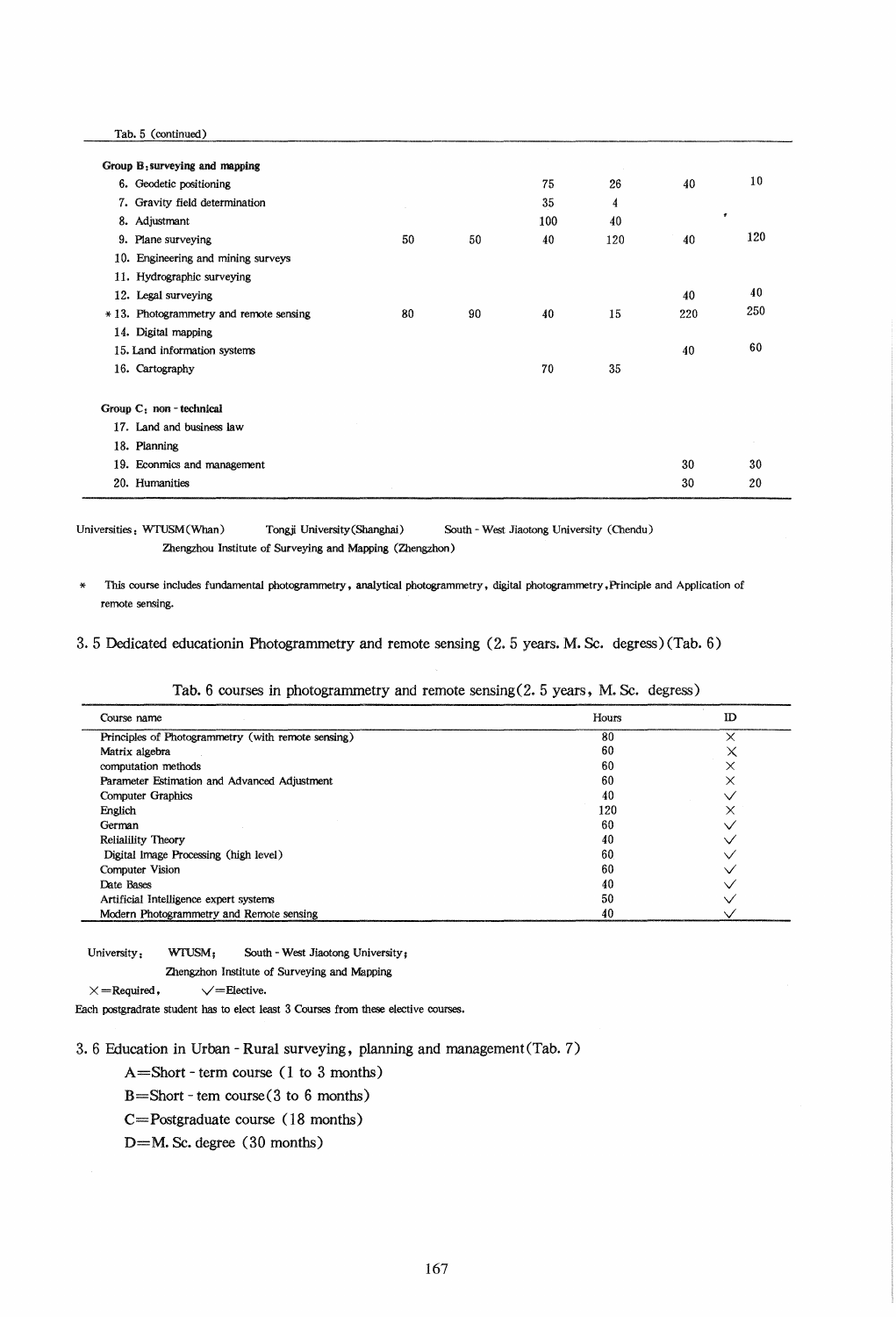Tab. 5 (continued)

| Group B: surveying and mapping          |    |    |     |     |     |              |  |
|-----------------------------------------|----|----|-----|-----|-----|--------------|--|
| 6. Geodetic positioning                 |    |    | 75  | 26  | 40  | 10           |  |
| 7. Gravity field determination          |    |    | 35  | 4   |     |              |  |
| 8. Adjustmant                           |    |    | 100 | 40  |     | $\pmb{\tau}$ |  |
| 9. Plane surveying                      | 50 | 50 | 40  | 120 | 40  | 120          |  |
| 10. Engineering and mining surveys      |    |    |     |     |     |              |  |
| 11. Hydrographic surveying              |    |    |     |     |     |              |  |
| 12. Legal surveying                     |    |    |     |     | 40  | 40           |  |
| * 13. Photogrammetry and remote sensing | 80 | 90 | 40  | 15  | 220 | 250          |  |
| 14. Digital mapping                     |    |    |     |     |     |              |  |
| 15. Land information systems            |    |    |     |     | 40  | 60           |  |
| 16. Cartography                         |    |    | 70  | 35  |     |              |  |
|                                         |    |    |     |     |     |              |  |
| Group $C_1$ non - technical             |    |    |     |     |     |              |  |
| 17. Land and business law               |    |    |     |     |     |              |  |
| 18. Planning                            |    |    |     |     |     |              |  |
| 19. Econmics and management             |    |    |     |     | 30  | 30           |  |
| 20. Humanities                          |    |    |     |     | 30  | 20           |  |
|                                         |    |    |     |     |     |              |  |

Universities: wruSM(Whan) Tongji University(Shanghai) South - West Jiaotong University (Chendu) Zhengzhou Institute of Surveying and Mapping (Zhengzhon)

This course includes fundamental photogrammetry, analytical photogrammetry, digital photogrammetry. Principle and Application of remote sensing.

3.5 Dedicated educationin Photogrammetryand remote sensing (2.5 years. M. Sc. degress) (Tab. 6)

| Course name                                        | Hours | ID |
|----------------------------------------------------|-------|----|
| Principles of Photogrammetry (with remote sensing) | 80    |    |
| Matrix algebra                                     | 60    |    |
| computation methods                                | 60    |    |
| Parameter Estimation and Advanced Adjustment       | 60    |    |
| Computer Graphics                                  | 40    |    |
| Englich                                            | 120   |    |
| German                                             | 60    |    |
| Relialility Theory                                 | 40    |    |
| Digital Image Processing (high level)              | 60    |    |
| Computer Vision                                    | 60    |    |
| Date Bases                                         | 40    |    |
| Artificial Intelligence expert systems             | 50    |    |
| Modern Photogrammetry and Remote sensing           | 40    |    |

Tab. 6 courses in photogrammetry and remote sensing(2. 5 years, M. Sc. degress)

University: wruSM; South - West Jiaotong University;

Zhengzhon Institute of Surveying and Mapping

 $\label{eq:ex1} \times\!=\!\mbox{Required}\,,\qquad\qquad \sqrt=\!\mbox{Electric}\,.$ 

Each postgradrate student has to elect least 3 Courses from these elective courses.

3. 6 Education in Urban - Rural surveying, planning and management(Tab. 7)

A=Short - term course (1 to 3 months)

B=Short - tern course(3 to 6 months)

C=Postgraduate course (18 months)

D=M. Sc. degree (30 months)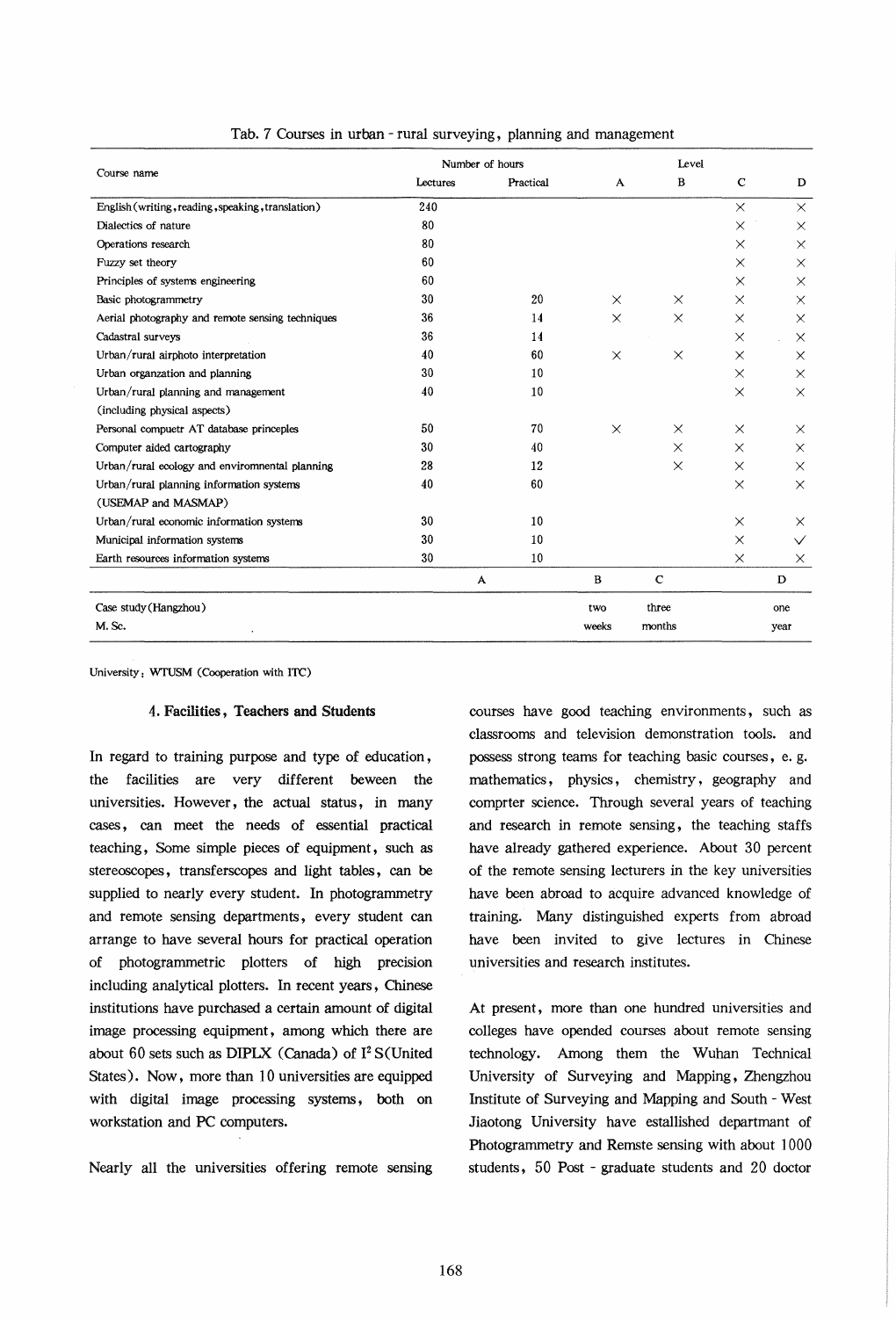|                                                   |          | Number of hours |              |             |             |              |
|---------------------------------------------------|----------|-----------------|--------------|-------------|-------------|--------------|
| Course name                                       | Lectures | Practical       | A            | $\bf{B}$    | $\mathbf C$ | D            |
| English (writing, reading, speaking, translation) | 240      |                 |              |             | $\times$    | $\times$     |
| Dialectics of nature                              | 80       |                 |              |             | $\times$    | $\times$     |
| Operations research                               | 80       |                 |              |             | $\times$    | $\times$     |
| Fuzzy set theory                                  | 60       |                 |              |             | $\times$    | $\times$     |
| Principles of systems engineering                 | 60       |                 |              |             | $\times$    | $\times$     |
| Basic photogrammetry                              | 30       | 20              | X            | $\times$    | $\times$    | $\times$     |
| Aerial photography and remote sensing techniques  | 36       | 14              | $\times$     | $\times$    | $\times$    | $\times$     |
| Cadastral surveys                                 | 36       | 14              |              |             | $\times$    | $\times$     |
| Urban/rural airphoto interpretation               | 40       | 60              | $\times$     | $\times$    | $\times$    | $\times$     |
| Urban organzation and planning                    | 30       | 10              |              |             | $\times$    | $\times$     |
| Urban/rural planning and management               | 40       | 10              |              |             | $\times$    | $\times$     |
| (including physical aspects)                      |          |                 |              |             |             |              |
| Personal compuetr AT database princeples          | 50       | 70              | $\times$     | $\times$    | $\times$    | $\times$     |
| Computer aided cartography                        | 30       | 40              |              | $\times$    | $\times$    | $\times$     |
| Urban/rural ecology and envirommental planning    | 28       | 12              |              | $\times$    | $\times$    | $\times$     |
| Urban/rural planning information systems          | 40       | 60              |              |             | $\times$    | $\times$     |
| (USEMAP and MASMAP)                               |          |                 |              |             |             |              |
| Urban/rural economic information systems          | 30       | 10              |              |             | $\times$    | X            |
| Municipal information systems                     | 30       | 10              |              |             | $\times$    | $\checkmark$ |
| Earth resources information systems               | 30       | 10              |              |             | $\times$    | X            |
|                                                   |          | A               | $\, {\bf B}$ | $\mathbf C$ |             | D            |
| Case study (Hangzhou)                             |          |                 | two          | three       |             | one          |
| M.Sc.                                             |          |                 | weeks        | months      |             | year         |

Tab. 7 Courses in urban - rural surveying, planning and management

University: wruSM (Cooperation with ITC)

### 4. Facilities, Teachers and Students

In regard to training purpose and type of education, the facilities are very different beween the universities. However, the actual status, in many cases , can meet the needs of essential practical teaching, Some simple pieces of equipment, such as stereoscopes, transferscopes and light tables, can be supplied to nearly every student. In photogrammetry and remote sensing departments, every student can arrange to have several hours for practical operation of photogrammetric plotters of high precision including analytical plotters. In recent years, Chinese institutions have purchased a certain amount of digital image processing equipment, among which there are about 60 sets such as DIPLX (Canada) of  $I^2$  S(United States). Now, more than 10 universities are equipped with digital image processing systems, both on workstation and PC computers.

Nearly all the universities offering remote sensing

courses have good teaching environments, such as classrooms and television demonstration tools. and possess strong teams for teaching basic courses, e. g. mathematics, physics, chemistry, geography and comprter science. Through several years of teaching and research in remote sensing, the teaching staffs have already gathered experience. About 30 percent of the remote sensing lecturers in the key universities have been abroad to acquire advanced knowledge of training. Many distinguished experts from abroad have been invited to give lectures in Chinese universities and research institutes.

At present, more than one hundred universities and colleges have opended courses about remote sensing technology. Among them the Wuhan Technical University of Surveying and Mapping, Zhengzhou Institute of Surveying and Mapping and South - West Jiaotong University have estallished departmant of Photogrammetry and Remste sensing with about 1000 students, 50 Post - graduate students and 20 doctor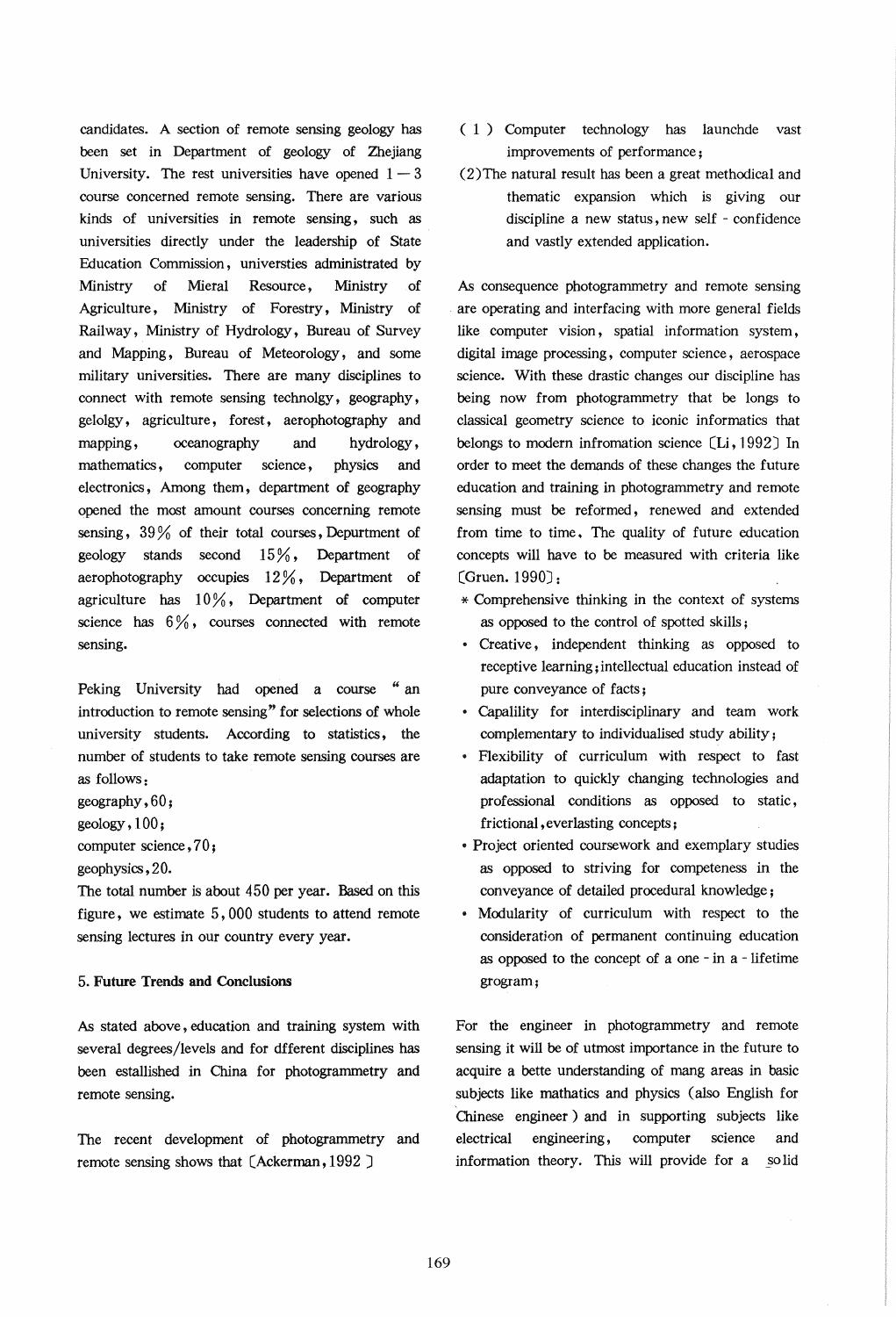candidates. A section of remote sensing geology has been set in Department of geology of Zhejiang University. The rest universities have opened  $1-3$ course concerned remote sensing. There are various kinds of universities in remote sensing, such as universities directly under the leadership of State Education Commission, universties administrated by Ministry of Mieral Resource, Ministry of Agriculture, Ministry of Forestry, Ministry of Railway, Ministry of Hydrology, Bureau of Survey and Mapping, Bureau of Meteorology, and some military universities. There are many disciplines to connect with remote sensing technolgy, geography, gelolgy, agriculture, forest, aerophotography and mapping, oceanography and hydrology, mathematics, computer science, physics and electronics, Among them, department of geography opened the most amount courses concerning remote sensing, 39 % of their total courses, Depurtment of geology stands second  $15\%$ , Department of aerophotography occupies  $12\%$ , Department of agriculture has  $10\%$ , Department of computer science has  $6\%$ , courses connected with remote sensing.

Peking University had opened a course "an introduction to remote sensing" for selections of whole university students. According to statistics, the number of students to take remote sensing courses are as follows:

geography, 60;

geology, 100 ;

computer science, 70;

geophysics, 20.

The total number is about 450 per year. Based on this figure, we estimate 5, 000 students to attend remote sensing lectures in our country every year.

### 5. Future Trends and Conclusions

As stated above, education and training system with several degrees/levels and for dfferent disciplines has been estallished in China for photogrammetry and remote sensing.

The recent development of photogrammetry and remote sensing shows that (Ackerman, 1992 J

- ( 1) Computer technology has launchde vast improvements of performance;
- (2)The natural result has been a great methodical and thematic expansion which is giving our discipline a new status, new self - confidence and vastly extended application.

As consequence photogrammetry and remote sensing are operating and interfacing with more general fields like computer vision, spatial information system, digital image processing, computer science, aerospace science. With these drastic changes our discipline has being now from photogrammetry that be longs to classical geometry science to iconic informatics that belongs to modern infromation science  $[Li, 1992]$  In order to meet the demands of these changes the future education and training in photogrammetry and remote sensing must be reformed, renewed and extended from time to time. The quality of future education concepts will have to be measured with criteria like (Gruen. 1990J:

- \* Comprehensive thinking in the context of systems as opposed to the control of spotted skills;
- Creative, independent thinking as opposed to receptive learning; intellectual education instead of pure conveyance of facts;
- Capalility for interdisciplinary and team work complementary to individualised study ability;
- Flexibility of curriculum with respect to fast adaptation to quickly changing technologies and professional conditions as opposed to static, frictional, everlasting concepts;
- Project oriented coursework and exemplary studies as opposed to striving for competeness in the conveyance of detailed procedural knowledge;
- Modularity of curriculum with respect to the consideration of permanent continuing education as opposed to the concept of a one - in a - lifetime grogram;

For the engineer in photogrammetry and remote sensing it will be of utmost importance in the future to acquire a bette understanding of mang areas in basic subjects like mathatics and physics (also English for Chinese engineer) and in supporting subjects like electrical engineering, computer science and information theory. This will provide for a §olid